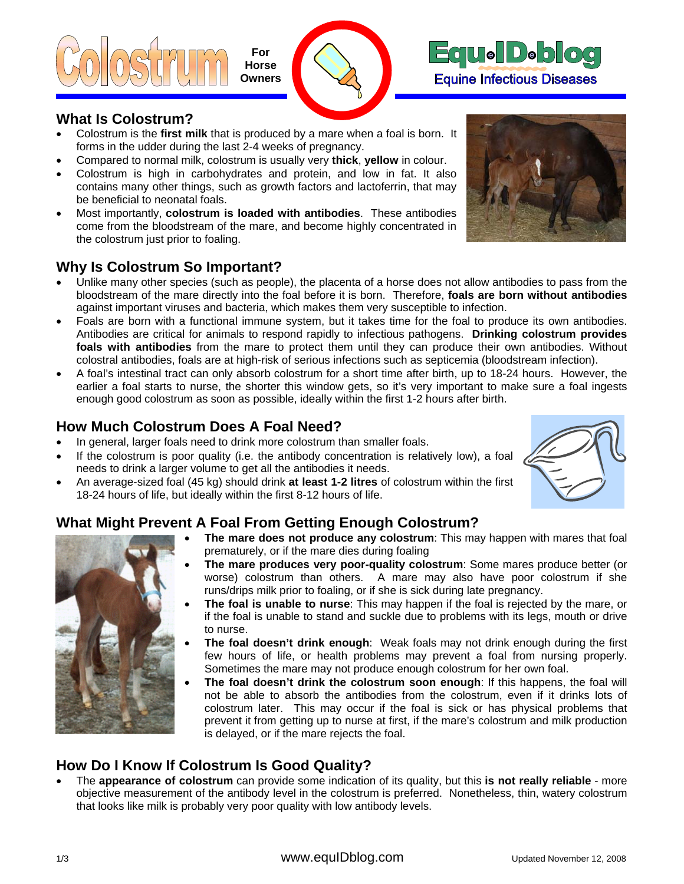





#### **What Is Colostrum?**

- Colostrum is the **first milk** that is produced by a mare when a foal is born. It forms in the udder during the last 2-4 weeks of pregnancy.
- Compared to normal milk, colostrum is usually very **thick**, **yellow** in colour.
- Colostrum is high in carbohydrates and protein, and low in fat. It also contains many other things, such as growth factors and lactoferrin, that may be beneficial to neonatal foals.
- Most importantly, **colostrum is loaded with antibodies**. These antibodies come from the bloodstream of the mare, and become highly concentrated in the colostrum just prior to foaling.

## **Why Is Colostrum So Important?**

- Unlike many other species (such as people), the placenta of a horse does not allow antibodies to pass from the bloodstream of the mare directly into the foal before it is born. Therefore, **foals are born without antibodies** against important viruses and bacteria, which makes them very susceptible to infection.
- Foals are born with a functional immune system, but it takes time for the foal to produce its own antibodies. Antibodies are critical for animals to respond rapidly to infectious pathogens. **Drinking colostrum provides foals with antibodies** from the mare to protect them until they can produce their own antibodies. Without colostral antibodies, foals are at high-risk of serious infections such as septicemia (bloodstream infection).
- A foal's intestinal tract can only absorb colostrum for a short time after birth, up to 18-24 hours. However, the earlier a foal starts to nurse, the shorter this window gets, so it's very important to make sure a foal ingests enough good colostrum as soon as possible, ideally within the first 1-2 hours after birth.

#### **How Much Colostrum Does A Foal Need?**

- In general, larger foals need to drink more colostrum than smaller foals.
- If the colostrum is poor quality (i.e. the antibody concentration is relatively low), a foal needs to drink a larger volume to get all the antibodies it needs.
- An average-sized foal (45 kg) should drink **at least 1-2 litres** of colostrum within the first 18-24 hours of life, but ideally within the first 8-12 hours of life.

# **What Might Prevent A Foal From Getting Enough Colostrum?**

- 
- **The mare does not produce any colostrum**: This may happen with mares that foal prematurely, or if the mare dies during foaling
- **The mare produces very poor-quality colostrum**: Some mares produce better (or worse) colostrum than others. A mare may also have poor colostrum if she runs/drips milk prior to foaling, or if she is sick during late pregnancy.
- . to nurse • **The foal is unable to nurse**: This may happen if the foal is rejected by the mare, or if the foal is unable to stand and suckle due to problems with its legs, mouth or drive
- **The foal doesn't drink enough**: Weak foals may not drink enough during the first few hours of life, or health problems may prevent a foal from nursing properly. Sometimes the mare may not produce enough colostrum for her own foal.
- **The foal doesn't drink the colostrum soon enough**: If this happens, the foal will not be able to absorb the antibodies from the colostrum, even if it drinks lots of colostrum later. This may occur if the foal is sick or has physical problems that prevent it from getting up to nurse at first, if the mare's colostrum and milk production is delayed, or if the mare rejects the foal.

## **How Do I Know If Colostrum Is Good Quality?**

• The **appearance of colostrum** can provide some indication of its quality, but this **is not really reliable** - more objective measurement of the antibody level in the colostrum is preferred. Nonetheless, thin, watery colostrum that looks like milk is probably very poor quality with low antibody levels.

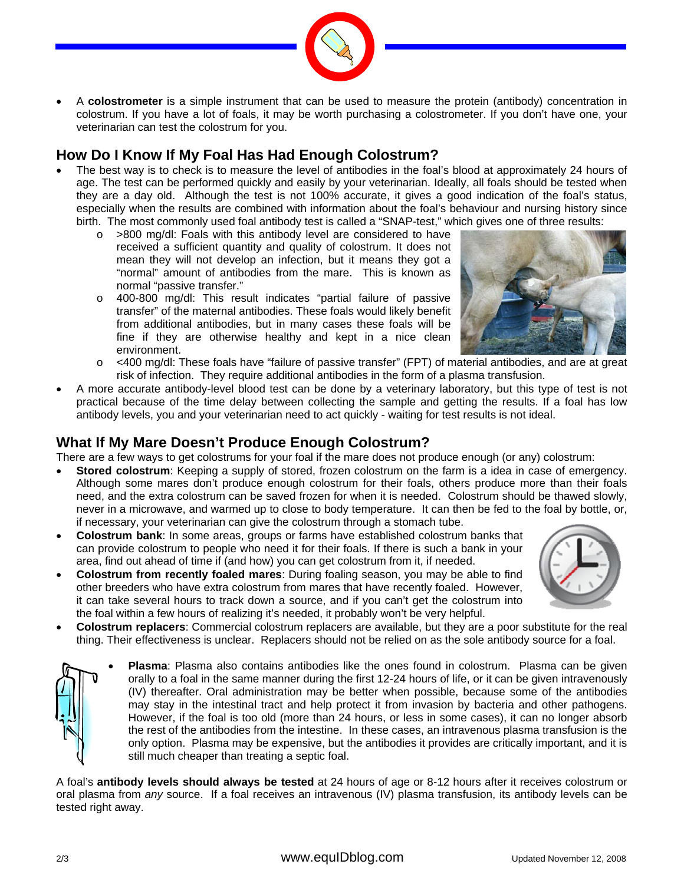

• A **colostrometer** is a simple instrument that can be used to measure the protein (antibody) concentration in colostrum. If you have a lot of foals, it may be worth purchasing a colostrometer. If you don't have one, your veterinarian can test the colostrum for you.

## **How Do I Know If My Foal Has Had Enough Colostrum?**

- The best way is to check is to measure the level of antibodies in the foal's blood at approximately 24 hours of age. The test can be performed quickly and easily by your veterinarian. Ideally, all foals should be tested when they are a day old. Although the test is not 100% accurate, it gives a good indication of the foal's status, especially when the results are combined with information about the foal's behaviour and nursing history since birth. The most commonly used foal antibody test is called a "SNAP-test," which gives one of three results:
	- o >800 mg/dl: Foals with this antibody level are considered to have received a sufficient quantity and quality of colostrum. It does not mean they will not develop an infection, but it means they got a "normal" amount of antibodies from the mare. This is known as normal "passive transfer."
	- o 400-800 mg/dl: This result indicates "partial failure of passive transfer" of the maternal antibodies. These foals would likely benefit from additional antibodies, but in many cases these foals will be fine if they are otherwise healthy and kept in a nice clean environment.



- o <400 mg/dl: These foals have "failure of passive transfer" (FPT) of material antibodies, and are at great risk of infection. They require additional antibodies in the form of a plasma transfusion.
- A more accurate antibody-level blood test can be done by a veterinary laboratory, but this type of test is not practical because of the time delay between collecting the sample and getting the results. If a foal has low antibody levels, you and your veterinarian need to act quickly - waiting for test results is not ideal.

### **What If My Mare Doesn't Produce Enough Colostrum?**

There are a few ways to get colostrums for your foal if the mare does not produce enough (or any) colostrum:

- **Stored colostrum**: Keeping a supply of stored, frozen colostrum on the farm is a idea in case of emergency. Although some mares don't produce enough colostrum for their foals, others produce more than their foals need, and the extra colostrum can be saved frozen for when it is needed. Colostrum should be thawed slowly, never in a microwave, and warmed up to close to body temperature. It can then be fed to the foal by bottle, or, if necessary, your veterinarian can give the colostrum through a stomach tube.
- **Colostrum bank**: In some areas, groups or farms have established colostrum banks that can provide colostrum to people who need it for their foals. If there is such a bank in your area, find out ahead of time if (and how) you can get colostrum from it, if needed.
- **Colostrum from recently foaled mares**: During foaling season, you may be able to find other breeders who have extra colostrum from mares that have recently foaled. However, it can take several hours to track down a source, and if you can't get the colostrum into the foal within a few hours of realizing it's needed, it probably won't be very helpful.



• **Colostrum replacers**: Commercial colostrum replacers are available, but they are a poor substitute for the real thing. Their effectiveness is unclear. Replacers should not be relied on as the sole antibody source for a foal.



• **Plasma**: Plasma also contains antibodies like the ones found in colostrum. Plasma can be given orally to a foal in the same manner during the first 12-24 hours of life, or it can be given intravenously (IV) thereafter. Oral administration may be better when possible, because some of the antibodies may stay in the intestinal tract and help protect it from invasion by bacteria and other pathogens. However, if the foal is too old (more than 24 hours, or less in some cases), it can no longer absorb the rest of the antibodies from the intestine. In these cases, an intravenous plasma transfusion is the only option. Plasma may be expensive, but the antibodies it provides are critically important, and it is still much cheaper than treating a septic foal.

A foal's **antibody levels should always be tested** at 24 hours of age or 8-12 hours after it receives colostrum or oral plasma from *any* source. If a foal receives an intravenous (IV) plasma transfusion, its antibody levels can be tested right away.